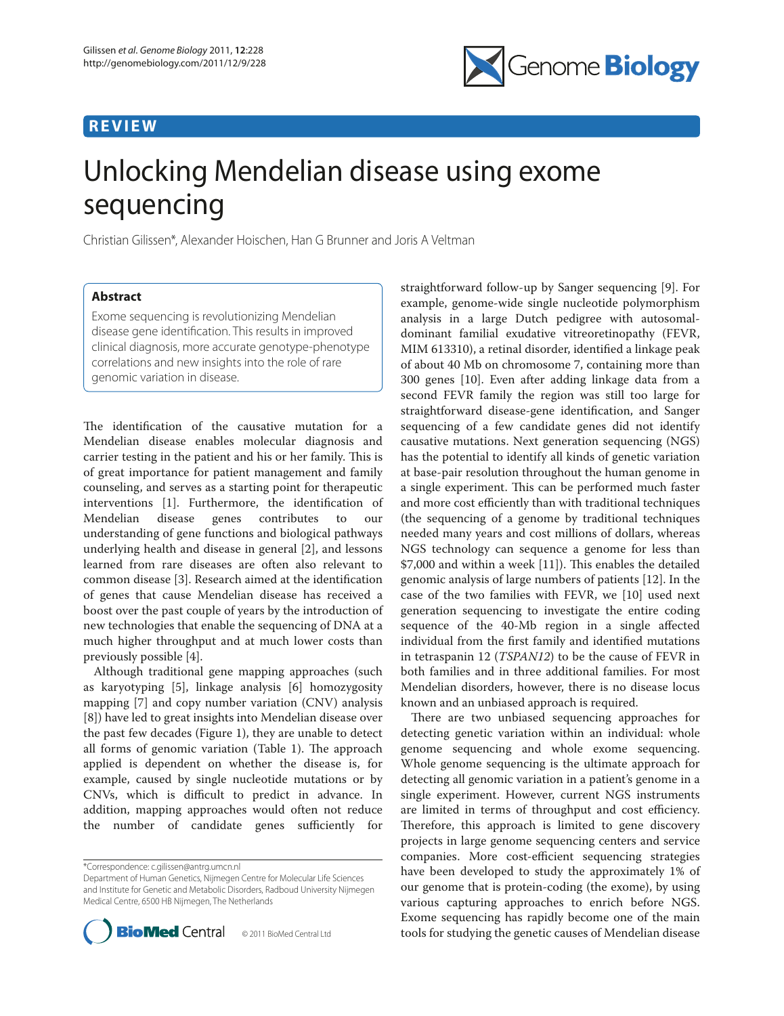## **REVIEW**



# Unlocking Mendelian disease using exome sequencing

Christian Gilissen\*, Alexander Hoischen, Han G Brunner and Joris A Veltman

## **Abstract**

Exome sequencing is revolutionizing Mendelian disease gene identification. This results in improved clinical diagnosis, more accurate genotype-phenotype correlations and new insights into the role of rare genomic variation in disease.

The identification of the causative mutation for a Mendelian disease enables molecular diagnosis and carrier testing in the patient and his or her family. This is of great importance for patient management and family counseling, and serves as a starting point for therapeutic interventions [1]. Furthermore, the identification of genes contributes to our understanding of gene functions and biological pathways underlying health and disease in general [2], and lessons learned from rare diseases are often also relevant to common disease [3]. Research aimed at the identification of genes that cause Mendelian disease has received a boost over the past couple of years by the introduction of new technologies that enable the sequencing of DNA at a much higher throughput and at much lower costs than previously possible [4].

Although traditional gene mapping approaches (such as karyotyping [5], linkage analysis [6] homozygosity mapping [7] and copy number variation (CNV) analysis [8]) have led to great insights into Mendelian disease over the past few decades (Figure 1), they are unable to detect all forms of genomic variation (Table 1). The approach applied is dependent on whether the disease is, for example, caused by single nucleotide mutations or by CNVs, which is difficult to predict in advance. In addition, mapping approaches would often not reduce the number of candidate genes sufficiently for

\*Correspondence: c.gilissen@antrg.umcn.nl

Department of Human Genetics, Nijmegen Centre for Molecular Life Sciences and Institute for Genetic and Metabolic Disorders, Radboud University Nijmegen Medical Centre, 6500 HB Nijmegen, The Netherlands



straightforward follow-up by Sanger sequencing [9]. For example, genome-wide single nucleotide polymorphism analysis in a large Dutch pedigree with autosomaldominant familial exudative vitreoretinopathy (FEVR, MIM 613310), a retinal disorder, identified a linkage peak of about 40 Mb on chromosome 7, containing more than 300 genes [10]. Even after adding linkage data from a second FEVR family the region was still too large for straightforward disease-gene identification, and Sanger sequencing of a few candidate genes did not identify causative mutations. Next generation sequencing (NGS) has the potential to identify all kinds of genetic variation at base-pair resolution throughout the human genome in a single experiment. This can be performed much faster and more cost efficiently than with traditional techniques (the sequencing of a genome by traditional techniques needed many years and cost millions of dollars, whereas NGS technology can sequence a genome for less than  $$7,000$  and within a week [11]). This enables the detailed genomic analysis of large numbers of patients [12]. In the case of the two families with FEVR, we [10] used next generation sequencing to investigate the entire coding sequence of the 40-Mb region in a single affected individual from the first family and identified mutations in tetraspanin 12 (*TSPAN12*) to be the cause of FEVR in both families and in three additional families. For most Mendelian disorders, however, there is no disease locus known and an unbiased approach is required.

There are two unbiased sequencing approaches for detecting genetic variation within an individual: whole genome sequencing and whole exome sequencing. Whole genome sequencing is the ultimate approach for detecting all genomic variation in a patient's genome in a single experiment. However, current NGS instruments are limited in terms of throughput and cost efficiency. Therefore, this approach is limited to gene discovery projects in large genome sequencing centers and service companies. More cost-efficient sequencing strategies have been developed to study the approximately 1% of our genome that is protein-coding (the exome), by using various capturing approaches to enrich before NGS. Exome sequencing has rapidly become one of the main tools for studying the genetic causes of Mendelian disease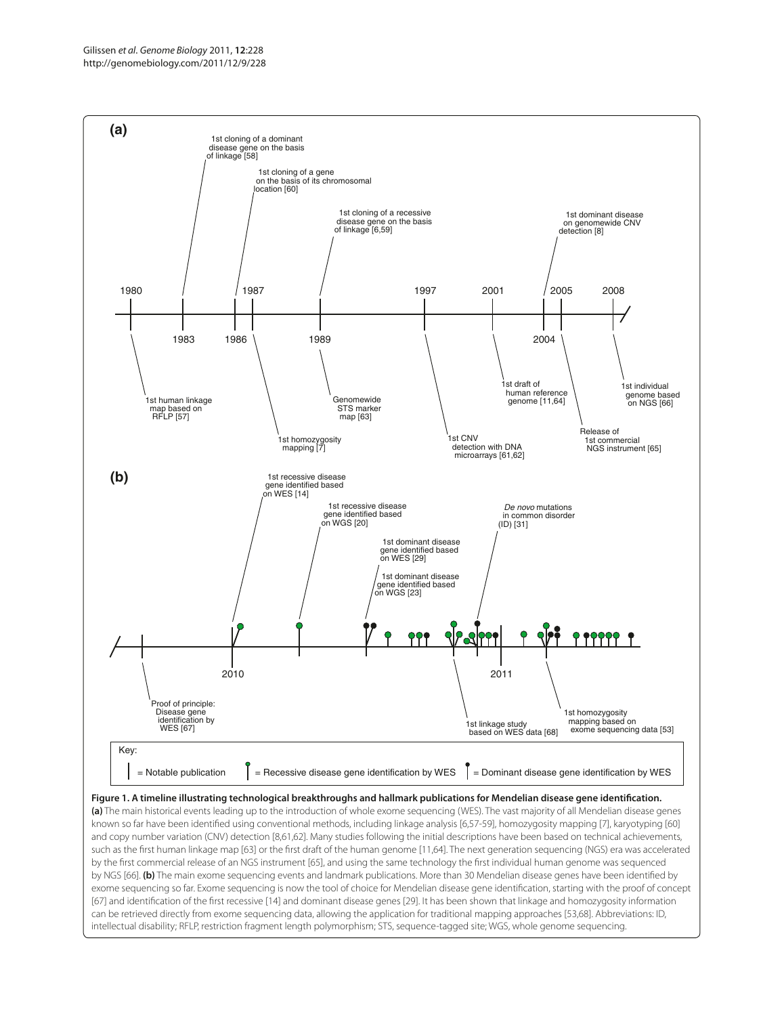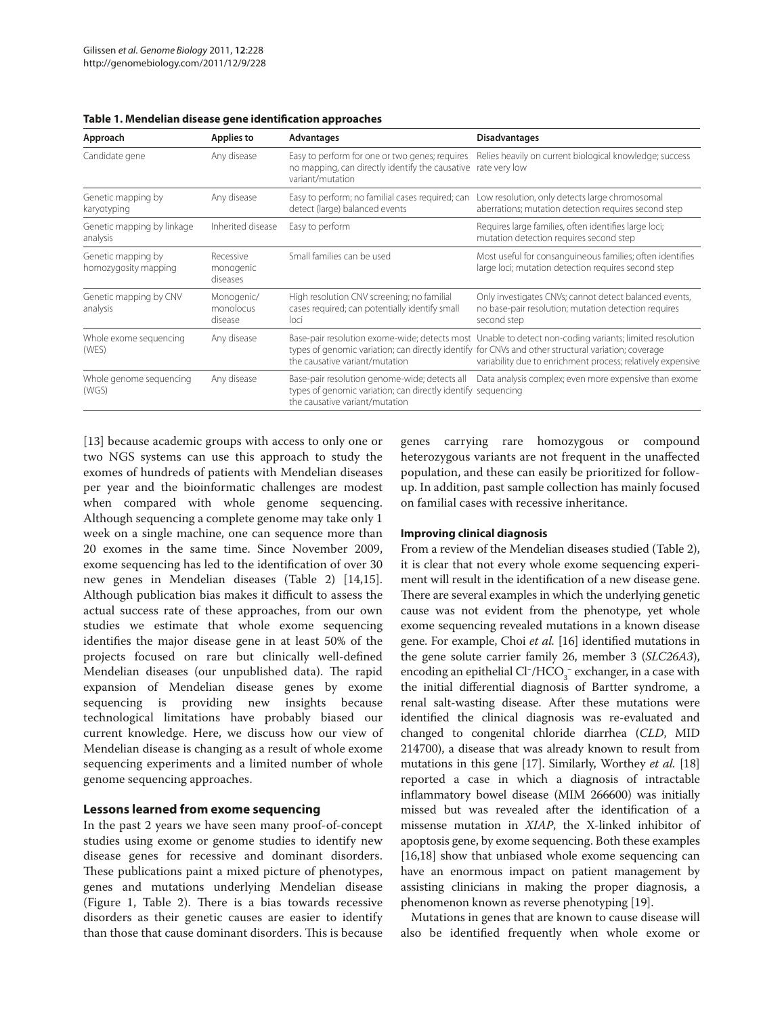| <b>Applies to</b>                  | Advantages                                                                                                                                      | <b>Disadvantages</b>                                                                                                                                                                                                                                                         |  |
|------------------------------------|-------------------------------------------------------------------------------------------------------------------------------------------------|------------------------------------------------------------------------------------------------------------------------------------------------------------------------------------------------------------------------------------------------------------------------------|--|
| Any disease                        | Easy to perform for one or two genes; requires<br>no mapping, can directly identify the causative<br>variant/mutation                           | Relies heavily on current biological knowledge; success<br>rate very low                                                                                                                                                                                                     |  |
| Any disease                        | Easy to perform; no familial cases required; can<br>detect (large) balanced events                                                              | Low resolution, only detects large chromosomal<br>aberrations; mutation detection requires second step                                                                                                                                                                       |  |
| Inherited disease                  | Easy to perform                                                                                                                                 | Requires large families, often identifies large loci;<br>mutation detection requires second step                                                                                                                                                                             |  |
| Recessive<br>monogenic<br>diseases | Small families can be used                                                                                                                      | Most useful for consanguineous families; often identifies<br>large loci; mutation detection requires second step                                                                                                                                                             |  |
| Monogenic/<br>monolocus<br>disease | High resolution CNV screening; no familial<br>cases required; can potentially identify small<br>loci                                            | Only investigates CNVs; cannot detect balanced events,<br>no base-pair resolution; mutation detection requires<br>second step                                                                                                                                                |  |
| Any disease                        | the causative variant/mutation                                                                                                                  | Base-pair resolution exome-wide; detects most Unable to detect non-coding variants; limited resolution<br>types of genomic variation; can directly identify for CNVs and other structural variation; coverage<br>variability due to enrichment process; relatively expensive |  |
| Any disease                        | Base-pair resolution genome-wide; detects all<br>types of genomic variation; can directly identify sequencing<br>the causative variant/mutation | Data analysis complex; even more expensive than exome                                                                                                                                                                                                                        |  |
|                                    |                                                                                                                                                 |                                                                                                                                                                                                                                                                              |  |

**Table 1. Mendelian disease gene identification approaches**

[13] because academic groups with access to only one or two NGS systems can use this approach to study the exomes of hundreds of patients with Mendelian diseases per year and the bioinformatic challenges are modest when compared with whole genome sequencing. Although sequencing a complete genome may take only 1 week on a single machine, one can sequence more than 20 exomes in the same time. Since November 2009, exome sequencing has led to the identification of over 30 new genes in Mendelian diseases (Table 2) [14,15]. Although publication bias makes it difficult to assess the actual success rate of these approaches, from our own studies we estimate that whole exome sequencing identifies the major disease gene in at least 50% of the projects focused on rare but clinically well-defined Mendelian diseases (our unpublished data). The rapid expansion of Mendelian disease genes by exome sequencing is providing new insights because technological limitations have probably biased our current knowledge. Here, we discuss how our view of Mendelian disease is changing as a result of whole exome sequencing experiments and a limited number of whole genome sequencing approaches.

### **Lessons learned from exome sequencing**

In the past 2 years we have seen many proof-of-concept studies using exome or genome studies to identify new disease genes for recessive and dominant disorders. These publications paint a mixed picture of phenotypes, genes and mutations underlying Mendelian disease (Figure 1, Table 2). There is a bias towards recessive disorders as their genetic causes are easier to identify than those that cause dominant disorders. This is because genes carrying rare homozygous or compound heterozygous variants are not frequent in the unaffected population, and these can easily be prioritized for followup. In addition, past sample collection has mainly focused on familial cases with recessive inheritance.

#### **Improving clinical diagnosis**

From a review of the Mendelian diseases studied (Table 2), it is clear that not every whole exome sequencing experiment will result in the identification of a new disease gene. There are several examples in which the underlying genetic cause was not evident from the phenotype, yet whole exome sequencing revealed mutations in a known disease gene. For example, Choi *et al.* [16] identified mutations in the gene solute carrier family 26, member 3 (*SLC26A3*), encoding an epithelial Cl<sup>-</sup>/HCO<sub>3</sub><sup>-</sup> exchanger, in a case with the initial differential diagnosis of Bartter syndrome, a renal salt-wasting disease. After these mutations were identified the clinical diagnosis was re-evaluated and changed to congenital chloride diarrhea (*CLD*, MID 214700), a disease that was already known to result from mutations in this gene [17]. Similarly, Worthey *et al.* [18] reported a case in which a diagnosis of intractable inflammatory bowel disease (MIM 266600) was initially missed but was revealed after the identification of a missense mutation in *XIAP*, the X-linked inhibitor of apoptosis gene, by exome sequencing. Both these examples [16,18] show that unbiased whole exome sequencing can have an enormous impact on patient management by assisting clinicians in making the proper diagnosis, a phenomenon known as reverse phenotyping [19].

Mutations in genes that are known to cause disease will also be identified frequently when whole exome or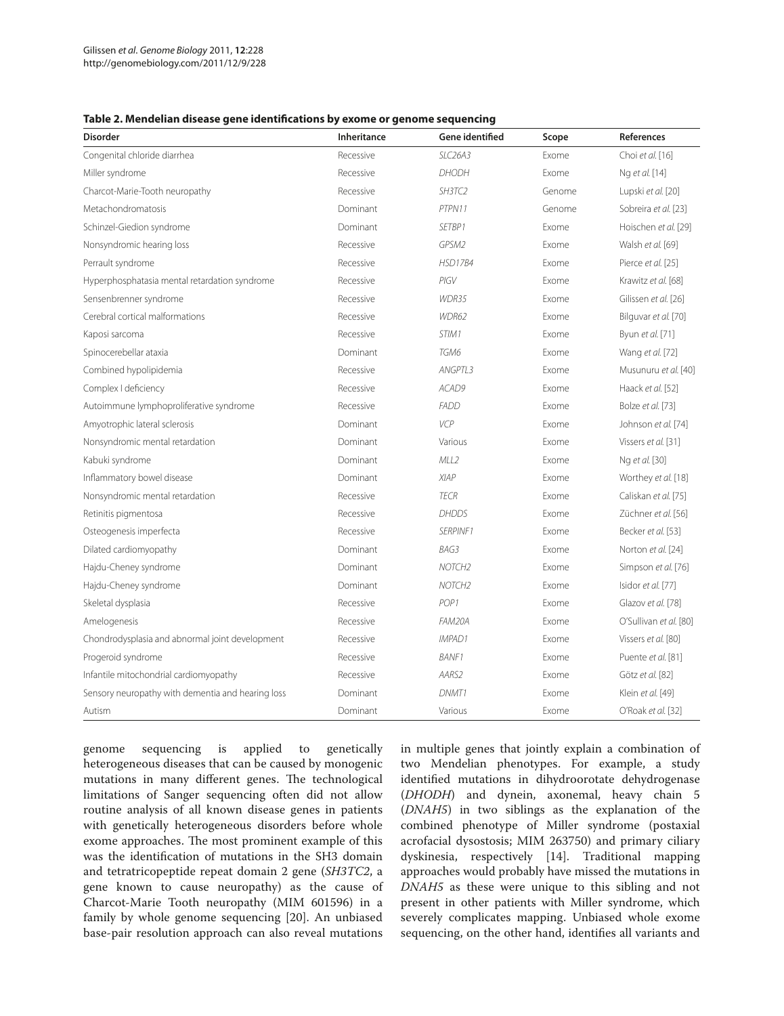| Table 2. Mendelian disease gene identifications by exome or genome sequencing |  |  |
|-------------------------------------------------------------------------------|--|--|
|-------------------------------------------------------------------------------|--|--|

| <b>Disorder</b>                                   | Inheritance | Gene identified    | Scope  | References             |
|---------------------------------------------------|-------------|--------------------|--------|------------------------|
| Congenital chloride diarrhea                      | Recessive   | SLC26A3            | Exome  | Choi et al. [16]       |
| Miller syndrome                                   | Recessive   | DHODH              | Exome  | Ng et al. [14]         |
| Charcot-Marie-Tooth neuropathy                    | Recessive   | SH3TC2             | Genome | Lupski et al. [20]     |
| Metachondromatosis                                | Dominant    | PTPN11             | Genome | Sobreira et al. [23]   |
| Schinzel-Giedion syndrome                         | Dominant    | SETBP1             | Exome  | Hoischen et al. [29]   |
| Nonsyndromic hearing loss                         | Recessive   | GPSM2              | Exome  | Walsh et al. [69]      |
| Perrault syndrome                                 | Recessive   | <b>HSD17B4</b>     | Exome  | Pierce et al. [25]     |
| Hyperphosphatasia mental retardation syndrome     | Recessive   | PIGV               | Exome  | Krawitz et al. [68]    |
| Sensenbrenner syndrome                            | Recessive   | WDR35              | Exome  | Gilissen et al. [26]   |
| Cerebral cortical malformations                   | Recessive   | WDR62              | Exome  | Bilguvar et al. [70]   |
| Kaposi sarcoma                                    | Recessive   | STIM1              | Exome  | Byun et al. [71]       |
| Spinocerebellar ataxia                            | Dominant    | TGM6               | Exome  | Wang et al. [72]       |
| Combined hypolipidemia                            | Recessive   | ANGPTL3            | Exome  | Musunuru et al. [40]   |
| Complex I deficiency                              | Recessive   | ACAD9              | Exome  | Haack et al. [52]      |
| Autoimmune lymphoproliferative syndrome           | Recessive   | <b>FADD</b>        | Exome  | Bolze et al. [73]      |
| Amyotrophic lateral sclerosis                     | Dominant    | VCP                | Exome  | Johnson et al. [74]    |
| Nonsyndromic mental retardation                   | Dominant    | Various            | Exome  | Vissers et al. [31]    |
| Kabuki syndrome                                   | Dominant    | MLL <sub>2</sub>   | Exome  | Ng et al. [30]         |
| Inflammatory bowel disease                        | Dominant    | <b>XIAP</b>        | Exome  | Worthey et al. [18]    |
| Nonsyndromic mental retardation                   | Recessive   | <b>TECR</b>        | Exome  | Caliskan et al. [75]   |
| Retinitis pigmentosa                              | Recessive   | <b>DHDDS</b>       | Exome  | Züchner et al. [56]    |
| Osteogenesis imperfecta                           | Recessive   | SERPINF1           | Exome  | Becker et al. [53]     |
| Dilated cardiomyopathy                            | Dominant    | BAG3               | Exome  | Norton et al. [24]     |
| Hajdu-Cheney syndrome                             | Dominant    | NOTCH <sub>2</sub> | Exome  | Simpson et al. [76]    |
| Hajdu-Cheney syndrome                             | Dominant    | NOTCH <sub>2</sub> | Exome  | Isidor et al. [77]     |
| Skeletal dysplasia                                | Recessive   | POP <sub>1</sub>   | Exome  | Glazov et al. [78]     |
| Amelogenesis                                      | Recessive   | FAM20A             | Exome  | O'Sullivan et al. [80] |
| Chondrodysplasia and abnormal joint development   | Recessive   | <b>IMPAD1</b>      | Exome  | Vissers et al. [80]    |
| Progeroid syndrome                                | Recessive   | <b>BANF1</b>       | Exome  | Puente et al. [81]     |
| Infantile mitochondrial cardiomyopathy            | Recessive   | AARS2              | Exome  | Götz et al. [82]       |
| Sensory neuropathy with dementia and hearing loss | Dominant    | DNMT1              | Exome  | Klein et al. [49]      |
| Autism                                            | Dominant    | Various            | Exome  | O'Roak et al. [32]     |

genome sequencing is applied to genetically heterogeneous diseases that can be caused by monogenic mutations in many different genes. The technological limitations of Sanger sequencing often did not allow routine analysis of all known disease genes in patients with genetically heterogeneous disorders before whole exome approaches. The most prominent example of this was the identification of mutations in the SH3 domain and tetratricopeptide repeat domain 2 gene (*SH3TC2*, a gene known to cause neuropathy) as the cause of Charcot-Marie Tooth neuropathy (MIM 601596) in a family by whole genome sequencing [20]. An unbiased base-pair resolution approach can also reveal mutations in multiple genes that jointly explain a combination of two Mendelian phenotypes. For example, a study identified mutations in dihydroorotate dehydrogenase (*DHODH*) and dynein, axonemal, heavy chain 5 (*DNAH5*) in two siblings as the explanation of the combined phenotype of Miller syndrome (postaxial acrofacial dysostosis; MIM 263750) and primary ciliary dyskinesia, respectively [14]. Traditional mapping approaches would probably have missed the mutations in *DNAH5* as these were unique to this sibling and not present in other patients with Miller syndrome, which severely complicates mapping. Unbiased whole exome sequencing, on the other hand, identifies all variants and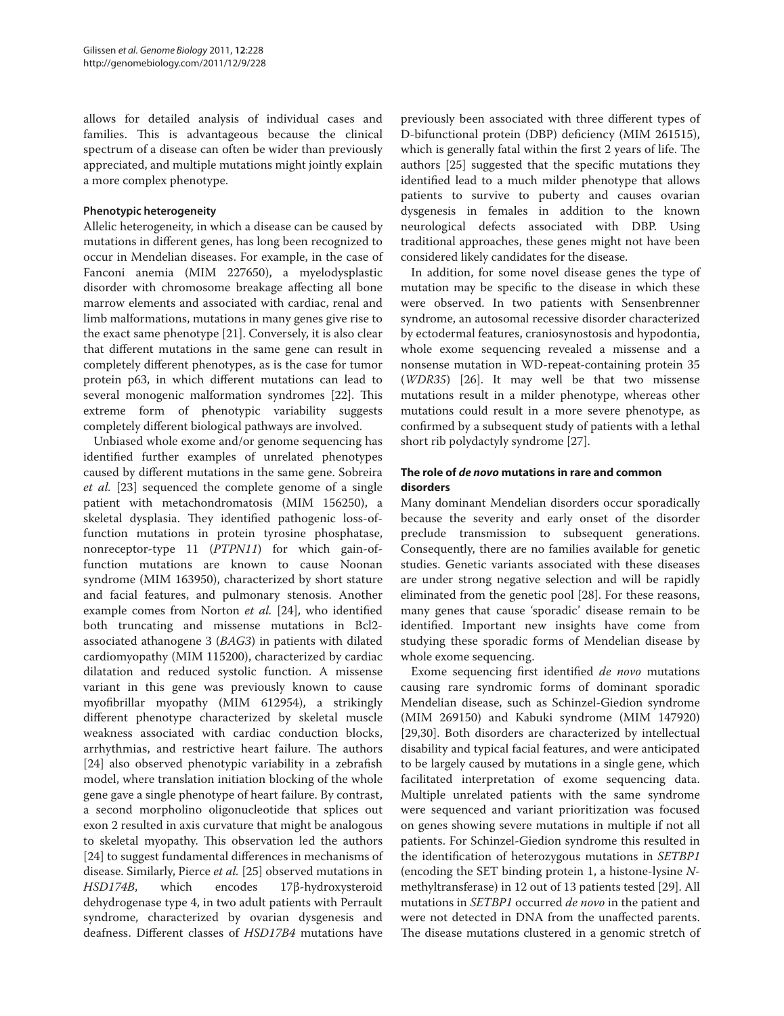allows for detailed analysis of individual cases and families. This is advantageous because the clinical spectrum of a disease can often be wider than previously appreciated, and multiple mutations might jointly explain a more complex phenotype.

## **Phenotypic heterogeneity**

Allelic heterogeneity, in which a disease can be caused by mutations in different genes, has long been recognized to occur in Mendelian diseases. For example, in the case of Fanconi anemia (MIM 227650), a myelodysplastic disorder with chromosome breakage affecting all bone marrow elements and associated with cardiac, renal and limb malformations, mutations in many genes give rise to the exact same phenotype [21]. Conversely, it is also clear that different mutations in the same gene can result in completely different phenotypes, as is the case for tumor protein p63, in which different mutations can lead to several monogenic malformation syndromes [22]. This extreme form of phenotypic variability suggests completely different biological pathways are involved.

Unbiased whole exome and/or genome sequencing has identified further examples of unrelated phenotypes caused by different mutations in the same gene. Sobreira *et al.* [23] sequenced the complete genome of a single patient with metachondromatosis (MIM 156250), a skeletal dysplasia. They identified pathogenic loss-offunction mutations in protein tyrosine phosphatase, nonreceptor-type 11 (*PTPN11*) for which gain-offunction mutations are known to cause Noonan syndrome (MIM 163950), characterized by short stature and facial features, and pulmonary stenosis. Another example comes from Norton *et al.* [24], who identified both truncating and missense mutations in Bcl2 associated athanogene 3 (*BAG3*) in patients with dilated cardiomyopathy (MIM 115200), characterized by cardiac dilatation and reduced systolic function. A missense variant in this gene was previously known to cause myofibrillar myopathy (MIM 612954), a strikingly different phenotype characterized by skeletal muscle weakness associated with cardiac conduction blocks, arrhythmias, and restrictive heart failure. The authors [24] also observed phenotypic variability in a zebrafish model, where translation initiation blocking of the whole gene gave a single phenotype of heart failure. By contrast, a second morpholino oligonucleotide that splices out exon 2 resulted in axis curvature that might be analogous to skeletal myopathy. This observation led the authors [24] to suggest fundamental differences in mechanisms of disease. Similarly, Pierce *et al.* [25] observed mutations in *HSD174B*, which encodes 17β-hydroxysteroid dehydrogenase type 4, in two adult patients with Perrault syndrome, characterized by ovarian dysgenesis and deafness. Different classes of *HSD17B4* mutations have

previously been associated with three different types of D-bifunctional protein (DBP) deficiency (MIM 261515), which is generally fatal within the first 2 years of life. The authors [25] suggested that the specific mutations they identified lead to a much milder phenotype that allows patients to survive to puberty and causes ovarian dysgenesis in females in addition to the known neurological defects associated with DBP. Using traditional approaches, these genes might not have been considered likely candidates for the disease.

In addition, for some novel disease genes the type of mutation may be specific to the disease in which these were observed. In two patients with Sensenbrenner syndrome, an autosomal recessive disorder characterized by ectodermal features, craniosynostosis and hypodontia, whole exome sequencing revealed a missense and a nonsense mutation in WD-repeat-containing protein 35 (*WDR35*) [26]. It may well be that two missense mutations result in a milder phenotype, whereas other mutations could result in a more severe phenotype, as confirmed by a subsequent study of patients with a lethal short rib polydactyly syndrome [27].

## **The role of** *de novo* **mutations in rare and common disorders**

Many dominant Mendelian disorders occur sporadically because the severity and early onset of the disorder preclude transmission to subsequent generations. Consequently, there are no families available for genetic studies. Genetic variants associated with these diseases are under strong negative selection and will be rapidly eliminated from the genetic pool [28]. For these reasons, many genes that cause 'sporadic' disease remain to be identified. Important new insights have come from studying these sporadic forms of Mendelian disease by whole exome sequencing.

Exome sequencing first identified *de novo* mutations causing rare syndromic forms of dominant sporadic Mendelian disease, such as Schinzel-Giedion syndrome (MIM 269150) and Kabuki syndrome (MIM 147920) [29,30]. Both disorders are characterized by intellectual disability and typical facial features, and were anticipated to be largely caused by mutations in a single gene, which facilitated interpretation of exome sequencing data. Multiple unrelated patients with the same syndrome were sequenced and variant prioritization was focused on genes showing severe mutations in multiple if not all patients. For Schinzel-Giedion syndrome this resulted in the identification of heterozygous mutations in *SETBP1*  (encoding the SET binding protein 1, a histone-lysine *N*methyltransferase) in 12 out of 13 patients tested [29]. All mutations in *SETBP1* occurred *de novo* in the patient and were not detected in DNA from the unaffected parents. The disease mutations clustered in a genomic stretch of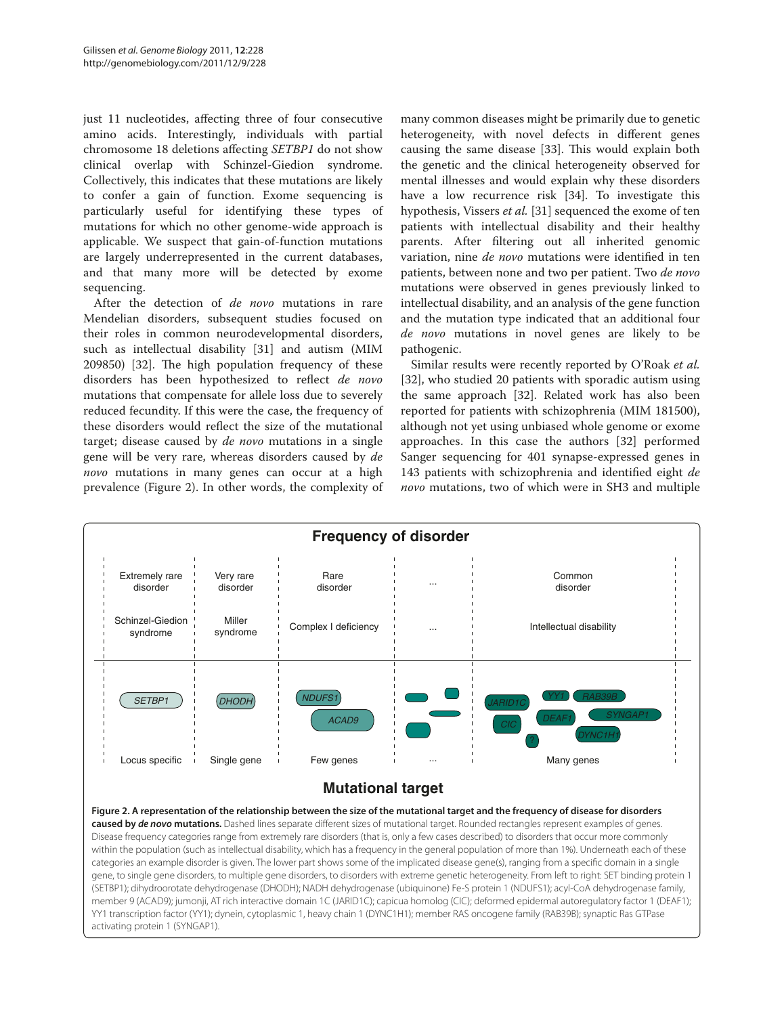just 11 nucleotides, affecting three of four consecutive amino acids. Interestingly, individuals with partial chromosome 18 deletions affecting *SETBP1* do not show clinical overlap with Schinzel-Giedion syndrome. Collectively, this indicates that these mutations are likely to confer a gain of function. Exome sequencing is particularly useful for identifying these types of mutations for which no other genome-wide approach is applicable. We suspect that gain-of-function mutations are largely underrepresented in the current databases, and that many more will be detected by exome sequencing.

After the detection of *de novo* mutations in rare Mendelian disorders, subsequent studies focused on their roles in common neurodevelopmental disorders, such as intellectual disability [31] and autism (MIM 209850) [32]. The high population frequency of these disorders has been hypothesized to reflect *de novo* mutations that compensate for allele loss due to severely reduced fecundity. If this were the case, the frequency of these disorders would reflect the size of the mutational target; disease caused by *de novo* mutations in a single gene will be very rare, whereas disorders caused by *de novo* mutations in many genes can occur at a high prevalence (Figure 2). In other words, the complexity of

many common diseases might be primarily due to genetic heterogeneity, with novel defects in different genes causing the same disease [33]. This would explain both the genetic and the clinical heterogeneity observed for mental illnesses and would explain why these disorders have a low recurrence risk [34]. To investigate this hypothesis, Vissers *et al.* [31] sequenced the exome of ten patients with intellectual disability and their healthy parents. After filtering out all inherited genomic variation, nine *de novo* mutations were identified in ten patients, between none and two per patient. Two *de novo* mutations were observed in genes previously linked to intellectual disability, and an analysis of the gene function and the mutation type indicated that an additional four *de novo* mutations in novel genes are likely to be pathogenic.

Similar results were recently reported by O'Roak *et al.* [32], who studied 20 patients with sporadic autism using the same approach [32]. Related work has also been reported for patients with schizophrenia (MIM 181500), although not yet using unbiased whole genome or exome approaches. In this case the authors [32] performed Sanger sequencing for 401 synapse-expressed genes in 143 patients with schizophrenia and identified eight *de novo* mutations, two of which were in SH3 and multiple



**Figure 2. A representation of the relationship between the size of the mutational target and the frequency of disease for disorders caused by** *de novo* **mutations.** Dashed lines separate different sizes of mutational target. Rounded rectangles represent examples of genes. Disease frequency categories range from extremely rare disorders (that is, only a few cases described) to disorders that occur more commonly within the population (such as intellectual disability, which has a frequency in the general population of more than 1%). Underneath each of these categories an example disorder is given. The lower part shows some of the implicated disease gene(s), ranging from a specific domain in a single gene, to single gene disorders, to multiple gene disorders, to disorders with extreme genetic heterogeneity. From left to right: SET binding protein 1 (SETBP1); dihydroorotate dehydrogenase (DHODH); NADH dehydrogenase (ubiquinone) Fe-S protein 1 (NDUFS1); acyl-CoA dehydrogenase family, member 9 (ACAD9); jumonji, AT rich interactive domain 1C (JARID1C); capicua homolog (CIC); deformed epidermal autoregulatory factor 1 (DEAF1); YY1 transcription factor (YY1); dynein, cytoplasmic 1, heavy chain 1 (DYNC1H1); member RAS oncogene family (RAB39B); synaptic Ras GTPase activating protein 1 (SYNGAP1).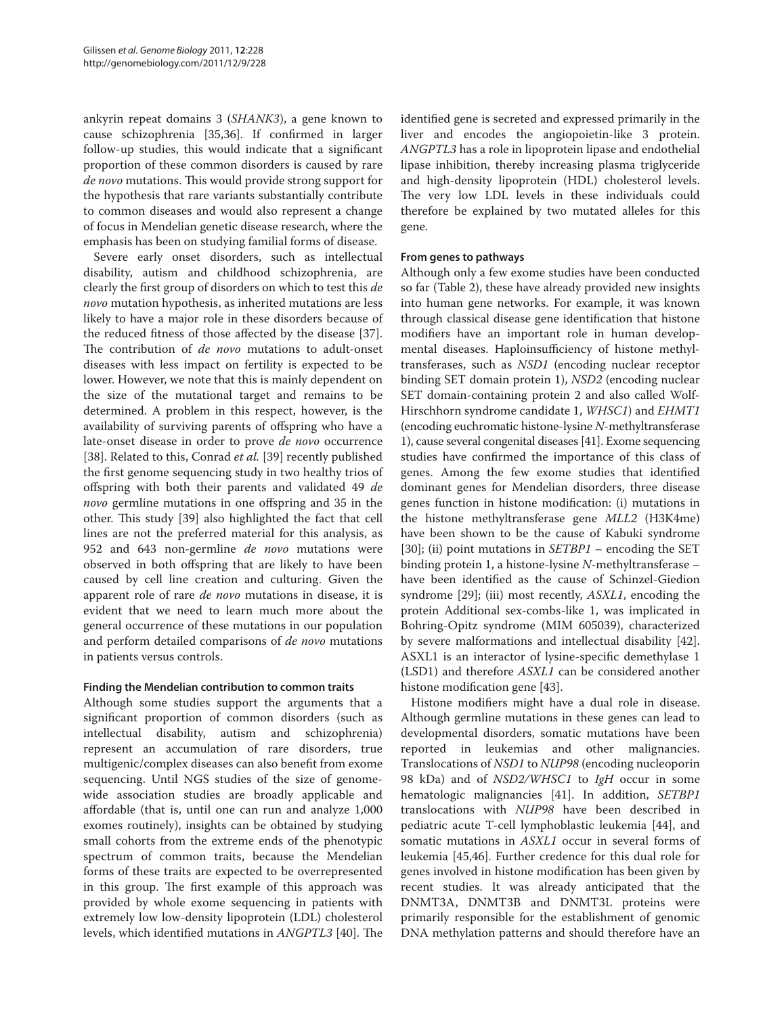ankyrin repeat domains 3 (*SHANK3*), a gene known to cause schizophrenia [35,36]. If confirmed in larger follow-up studies, this would indicate that a significant proportion of these common disorders is caused by rare *de novo* mutations. This would provide strong support for the hypothesis that rare variants substantially contribute to common diseases and would also represent a change of focus in Mendelian genetic disease research, where the emphasis has been on studying familial forms of disease.

Severe early onset disorders, such as intellectual disability, autism and childhood schizophrenia, are clearly the first group of disorders on which to test this *de novo* mutation hypothesis, as inherited mutations are less likely to have a major role in these disorders because of the reduced fitness of those affected by the disease [37]. The contribution of *de novo* mutations to adult-onset diseases with less impact on fertility is expected to be lower. However, we note that this is mainly dependent on the size of the mutational target and remains to be determined. A problem in this respect, however, is the availability of surviving parents of offspring who have a late-onset disease in order to prove *de novo* occurrence [38]. Related to this, Conrad *et al.* [39] recently published the first genome sequencing study in two healthy trios of offspring with both their parents and validated 49 *de novo* germline mutations in one offspring and 35 in the other. This study [39] also highlighted the fact that cell lines are not the preferred material for this analysis, as 952 and 643 non-germline *de novo* mutations were observed in both offspring that are likely to have been caused by cell line creation and culturing. Given the apparent role of rare *de novo* mutations in disease, it is evident that we need to learn much more about the general occurrence of these mutations in our population and perform detailed comparisons of *de novo* mutations in patients versus controls.

### **Finding the Mendelian contribution to common traits**

Although some studies support the arguments that a significant proportion of common disorders (such as intellectual disability, autism and schizophrenia) represent an accumulation of rare disorders, true multigenic/complex diseases can also benefit from exome sequencing. Until NGS studies of the size of genomewide association studies are broadly applicable and affordable (that is, until one can run and analyze 1,000 exomes routinely), insights can be obtained by studying small cohorts from the extreme ends of the phenotypic spectrum of common traits, because the Mendelian forms of these traits are expected to be overrepresented in this group. The first example of this approach was provided by whole exome sequencing in patients with extremely low low-density lipoprotein (LDL) cholesterol levels, which identified mutations in *ANGPTL3* [40]. The identified gene is secreted and expressed primarily in the liver and encodes the angiopoietin-like 3 protein. *ANGPTL3* has a role in lipoprotein lipase and endothelial lipase inhibition, thereby increasing plasma triglyceride and high-density lipoprotein (HDL) cholesterol levels. The very low LDL levels in these individuals could therefore be explained by two mutated alleles for this gene.

## **From genes to pathways**

Although only a few exome studies have been conducted so far (Table 2), these have already provided new insights into human gene networks. For example, it was known through classical disease gene identification that histone modifiers have an important role in human developmental diseases. Haploinsufficiency of histone methyltransferases, such as *NSD1* (encoding nuclear receptor binding SET domain protein 1), *NSD2* (encoding nuclear SET domain-containing protein 2 and also called Wolf-Hirschhorn syndrome candidate 1, *WHSC1*) and *EHMT1*  (encoding euchromatic histone-lysine *N*-methyltransferase 1), cause several congenital diseases [41]. Exome sequencing studies have confirmed the importance of this class of genes. Among the few exome studies that identified dominant genes for Mendelian disorders, three disease genes function in histone modification: (i) mutations in the histone methyltransferase gene *MLL2* (H3K4me) have been shown to be the cause of Kabuki syndrome [30]; (ii) point mutations in *SETBP1* – encoding the SET binding protein 1, a histone-lysine *N-*methyltransferase – have been identified as the cause of Schinzel-Giedion syndrome [29]; (iii) most recently, *ASXL1*, encoding the protein Additional sex-combs-like 1, was implicated in Bohring-Opitz syndrome (MIM 605039), characterized by severe malformations and intellectual disability [42]. ASXL1 is an interactor of lysine-specific demethylase 1 (LSD1) and therefore *ASXL1* can be considered another histone modification gene [43].

Histone modifiers might have a dual role in disease. Although germline mutations in these genes can lead to developmental disorders, somatic mutations have been reported in leukemias and other malignancies. Translocations of *NSD1* to *NUP98* (encoding nucleoporin 98 kDa) and of *NSD2/WHSC1* to *IgH* occur in some hematologic malignancies [41]. In addition, *SETBP1* translocations with *NUP98* have been described in pediatric acute T-cell lymphoblastic leukemia [44], and somatic mutations in *ASXL1* occur in several forms of leukemia [45,46]. Further credence for this dual role for genes involved in histone modification has been given by recent studies. It was already anticipated that the DNMT3A, DNMT3B and DNMT3L proteins were primarily responsible for the establishment of genomic DNA methylation patterns and should therefore have an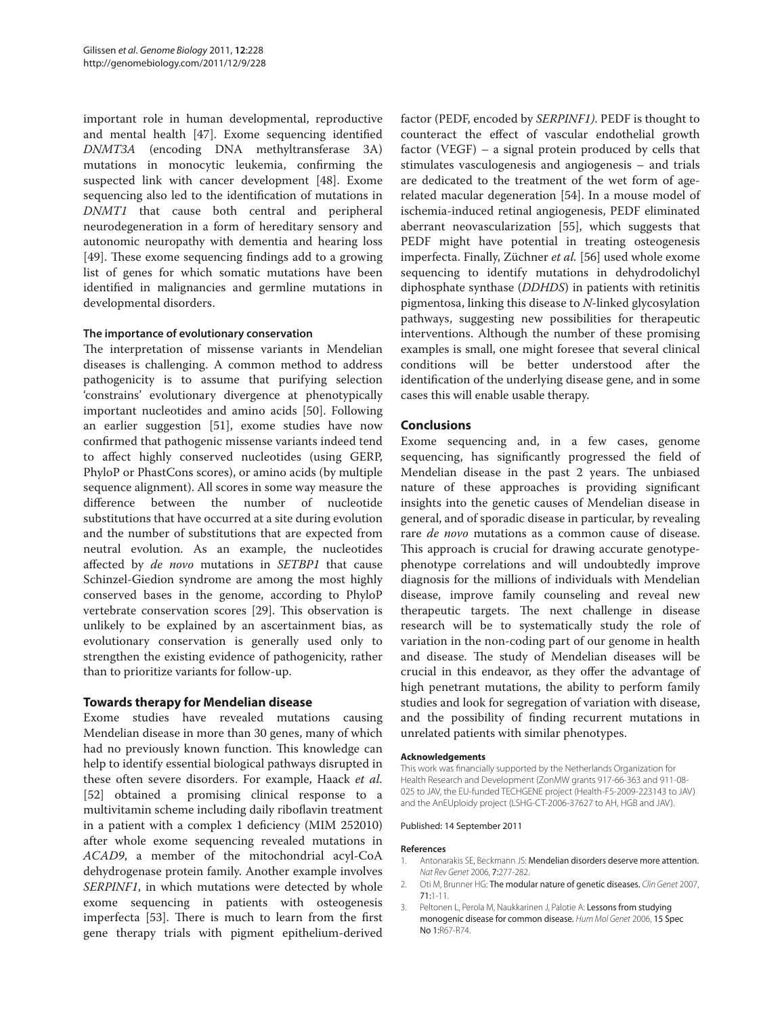important role in human developmental, reproductive and mental health [47]. Exome sequencing identified *DNMT3A* (encoding DNA methyltransferase 3A) mutations in monocytic leukemia, confirming the suspected link with cancer development [48]. Exome sequencing also led to the identification of mutations in *DNMT1* that cause both central and peripheral neurodegeneration in a form of hereditary sensory and autonomic neuropathy with dementia and hearing loss [49]. These exome sequencing findings add to a growing list of genes for which somatic mutations have been identified in malignancies and germline mutations in developmental disorders.

### **The importance of evolutionary conservation**

The interpretation of missense variants in Mendelian diseases is challenging. A common method to address pathogenicity is to assume that purifying selection 'constrains' evolutionary divergence at phenotypically important nucleotides and amino acids [50]. Following an earlier suggestion [51], exome studies have now confirmed that pathogenic missense variants indeed tend to affect highly conserved nucleotides (using GERP, PhyloP or PhastCons scores), or amino acids (by multiple sequence alignment). All scores in some way measure the difference between the number of nucleotide substitutions that have occurred at a site during evolution and the number of substitutions that are expected from neutral evolution. As an example, the nucleotides affected by *de novo* mutations in *SETBP1* that cause Schinzel-Giedion syndrome are among the most highly conserved bases in the genome, according to PhyloP vertebrate conservation scores [29]. This observation is unlikely to be explained by an ascertainment bias, as evolutionary conservation is generally used only to strengthen the existing evidence of pathogenicity, rather than to prioritize variants for follow-up.

### **Towards therapy for Mendelian disease**

Exome studies have revealed mutations causing Mendelian disease in more than 30 genes, many of which had no previously known function. This knowledge can help to identify essential biological pathways disrupted in these often severe disorders. For example, Haack *et al.* [52] obtained a promising clinical response to a multivitamin scheme including daily riboflavin treatment in a patient with a complex 1 deficiency (MIM 252010) after whole exome sequencing revealed mutations in *ACAD9*, a member of the mitochondrial acyl-CoA dehydrogenase protein family. Another example involves *SERPINF1*, in which mutations were detected by whole exome sequencing in patients with osteogenesis imperfecta [53]. There is much to learn from the first gene therapy trials with pigment epithelium-derived

factor (PEDF, encoded by *SERPINF1)*. PEDF is thought to counteract the effect of vascular endothelial growth factor (VEGF) – a signal protein produced by cells that stimulates vasculogenesis and angiogenesis – and trials are dedicated to the treatment of the wet form of agerelated macular degeneration [54]. In a mouse model of ischemia-induced retinal angiogenesis, PEDF eliminated aberrant neovascularization [55], which suggests that PEDF might have potential in treating osteogenesis imperfecta. Finally, Züchner *et al.* [56] used whole exome sequencing to identify mutations in dehydrodolichyl diphosphate synthase (*DDHDS*) in patients with retinitis pigmentosa, linking this disease to *N-*linked glycosylation pathways, suggesting new possibilities for therapeutic interventions. Although the number of these promising examples is small, one might foresee that several clinical conditions will be better understood after the identification of the underlying disease gene, and in some cases this will enable usable therapy.

### **Conclusions**

Exome sequencing and, in a few cases, genome sequencing, has significantly progressed the field of Mendelian disease in the past 2 years. The unbiased nature of these approaches is providing significant insights into the genetic causes of Mendelian disease in general, and of sporadic disease in particular, by revealing rare *de novo* mutations as a common cause of disease. This approach is crucial for drawing accurate genotypephenotype correlations and will undoubtedly improve diagnosis for the millions of individuals with Mendelian disease, improve family counseling and reveal new therapeutic targets. The next challenge in disease research will be to systematically study the role of variation in the non-coding part of our genome in health and disease. The study of Mendelian diseases will be crucial in this endeavor, as they offer the advantage of high penetrant mutations, the ability to perform family studies and look for segregation of variation with disease, and the possibility of finding recurrent mutations in unrelated patients with similar phenotypes.

#### **Acknowledgements**

This work was financially supported by the Netherlands Organization for Health Research and Development (ZonMW grants 917-66-363 and 911-08- 025 to JAV, the EU-funded TECHGENE project (Health-F5-2009-223143 to JAV) and the AnEUploidy project (LSHG-CT-2006-37627 to AH, HGB and JAV).

#### Published: 14 September 2011

#### **References**

- 1. Antonarakis SE, Beckmann JS: Mendelian disorders deserve more attention. *Nat Rev Genet* 2006, 7:277-282.
- 2. Oti M, Brunner HG: The modular nature of genetic diseases. *Clin Genet* 2007, 71:1-11.
- 3. Peltonen L, Perola M, Naukkarinen J, Palotie A: Lessons from studying monogenic disease for common disease. *Hum Mol Genet* 2006, 15 Spec No 1:R67-R74.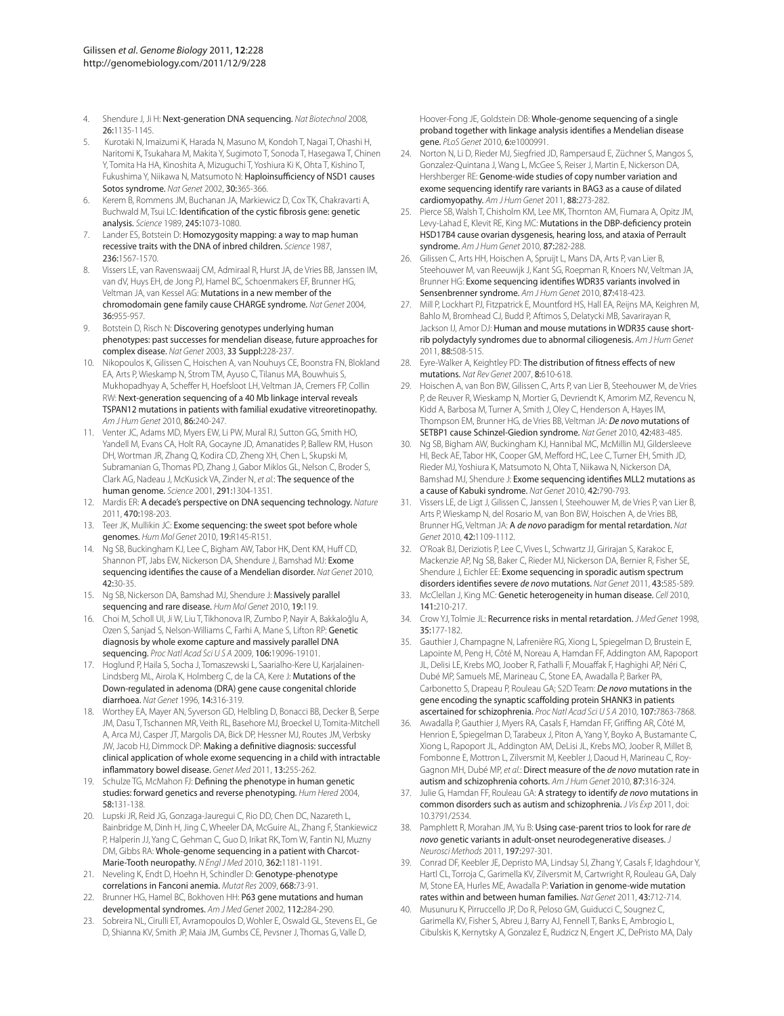- 4. Shendure J, Ji H: Next-generation DNA sequencing. *Nat Biotechnol* 2008, 26:1135-1145.
- 5. Kurotaki N, Imaizumi K, Harada N, Masuno M, Kondoh T, Nagai T, Ohashi H, Naritomi K, Tsukahara M, Makita Y, Sugimoto T, Sonoda T, Hasegawa T, Chinen Y, Tomita Ha HA, Kinoshita A, Mizuguchi T, Yoshiura Ki K, Ohta T, Kishino T, Fukushima Y, Niikawa N, Matsumoto N: Haploinsufficiency of NSD1 causes Sotos syndrome. *Nat Genet* 2002, 30:365-366.
- 6. Kerem B, Rommens JM, Buchanan JA, Markiewicz D, Cox TK, Chakravarti A, Buchwald M, Tsui LC: Identification of the cystic fibrosis gene: genetic analysis. *Science* 1989, 245:1073-1080.
- 7. Lander ES, Botstein D: Homozygosity mapping: a way to map human recessive traits with the DNA of inbred children. *Science* 1987, 236:1567-1570.
- 8. Vissers LE, van Ravenswaaij CM, Admiraal R, Hurst JA, de Vries BB, Janssen IM, van dV, Huys EH, de Jong PJ, Hamel BC, Schoenmakers EF, Brunner HG, Veltman JA, van Kessel AG: Mutations in a new member of the chromodomain gene family cause CHARGE syndrome. *Nat Genet* 2004, 36:955-957.
- 9. Botstein D, Risch N: Discovering genotypes underlying human phenotypes: past successes for mendelian disease, future approaches for complex disease. *Nat Genet* 2003, 33 Suppl:228-237.
- 10. Nikopoulos K, Gilissen C, Hoischen A, van Nouhuys CE, Boonstra FN, Blokland EA, Arts P, Wieskamp N, Strom TM, Ayuso C, Tilanus MA, Bouwhuis S, Mukhopadhyay A, Scheffer H, Hoefsloot LH, Veltman JA, Cremers FP, Collin RW: Next-generation sequencing of a 40 Mb linkage interval reveals TSPAN12 mutations in patients with familial exudative vitreoretinopathy. *Am J Hum Genet* 2010, 86:240-247.
- 11. Venter JC, Adams MD, Myers EW, Li PW, Mural RJ, Sutton GG, Smith HO, Yandell M, Evans CA, Holt RA, Gocayne JD, Amanatides P, Ballew RM, Huson DH, Wortman JR, Zhang Q, Kodira CD, Zheng XH, Chen L, Skupski M, Subramanian G, Thomas PD, Zhang J, Gabor Miklos GL, Nelson C, Broder S, Clark AG, Nadeau J, McKusick VA, Zinder N, *et al.*: The sequence of the human genome. *Science* 2001, 291:1304-1351.
- 12. Mardis ER: A decade's perspective on DNA sequencing technology. *Nature* 2011, 470:198-203.
- 13. Teer JK, Mullikin JC: Exome sequencing: the sweet spot before whole genomes. *Hum Mol Genet* 2010, 19:R145-R151.
- 14. Ng SB, Buckingham KJ, Lee C, Bigham AW, Tabor HK, Dent KM, Huff CD, Shannon PT, Jabs EW, Nickerson DA, Shendure J, Bamshad MJ: Exome sequencing identifies the cause of a Mendelian disorder. *Nat Genet* 2010, 42:30-35.
- 15. Ng SB, Nickerson DA, Bamshad MJ, Shendure J: Massively parallel sequencing and rare disease. *Hum Mol Genet* 2010, 19:119.
- 16. Choi M, Scholl UI, Ji W, Liu T, Tikhonova IR, Zumbo P, Nayir A, Bakkaloğlu A, Ozen S, Sanjad S, Nelson-Williams C, Farhi A, Mane S, Lifton RP: Genetic diagnosis by whole exome capture and massively parallel DNA sequencing. *Proc Natl Acad Sci U S A* 2009, 106:19096-19101.
- 17. Hoglund P, Haila S, Socha J, Tomaszewski L, Saarialho-Kere U, Karjalainen-Lindsberg ML, Airola K, Holmberg C, de la CA, Kere J: Mutations of the Down-regulated in adenoma (DRA) gene cause congenital chloride diarrhoea. *Nat Genet* 1996, 14:316-319.
- 18. Worthey EA, Mayer AN, Syverson GD, Helbling D, Bonacci BB, Decker B, Serpe JM, Dasu T, Tschannen MR, Veith RL, Basehore MJ, Broeckel U, Tomita-Mitchell A, Arca MJ, Casper JT, Margolis DA, Bick DP, Hessner MJ, Routes JM, Verbsky JW, Jacob HJ, Dimmock DP: Making a definitive diagnosis: successful clinical application of whole exome sequencing in a child with intractable inflammatory bowel disease. *Genet Med* 2011, 13:255-262.
- 19. Schulze TG, McMahon FJ: Defining the phenotype in human genetic studies: forward genetics and reverse phenotyping. *Hum Hered* 2004, 58:131-138.
- 20. Lupski JR, Reid JG, Gonzaga-Jauregui C, Rio DD, Chen DC, Nazareth L, Bainbridge M, Dinh H, Jing C, Wheeler DA, McGuire AL, Zhang F, Stankiewicz P, Halperin JJ, Yang C, Gehman C, Guo D, Irikat RK, Tom W, Fantin NJ, Muzny DM, Gibbs RA: Whole-genome sequencing in a patient with Charcot-Marie-Tooth neuropathy. *N Engl J Med* 2010, 362:1181-1191.
- 21. Neveling K, Endt D, Hoehn H, Schindler D: Genotype-phenotype correlations in Fanconi anemia. *Mutat Res* 2009, 668:73-91.
- 22. Brunner HG, Hamel BC, Bokhoven HH: P63 gene mutations and human developmental syndromes. *Am J Med Genet* 2002, 112:284-290.
- 23. Sobreira NL, Cirulli ET, Avramopoulos D, Wohler E, Oswald GL, Stevens EL, Ge D, Shianna KV, Smith JP, Maia JM, Gumbs CE, Pevsner J, Thomas G, Valle D,

Hoover-Fong JE, Goldstein DB: Whole-genome sequencing of a single proband together with linkage analysis identifies a Mendelian disease gene. *PLoS Genet* 2010, 6:e1000991.

- 24. Norton N, Li D, Rieder MJ, Siegfried JD, Rampersaud E, Züchner S, Mangos S, Gonzalez-Quintana J, Wang L, McGee S, Reiser J, Martin E, Nickerson DA, Hershberger RE: Genome-wide studies of copy number variation and exome sequencing identify rare variants in BAG3 as a cause of dilated cardiomyopathy. *Am J Hum Genet* 2011, 88:273-282.
- 25. Pierce SB, Walsh T, Chisholm KM, Lee MK, Thornton AM, Fiumara A, Opitz JM, Levy-Lahad E, Klevit RE, King MC: Mutations in the DBP-deficiency protein HSD17B4 cause ovarian dysgenesis, hearing loss, and ataxia of Perrault syndrome. *Am J Hum Genet* 2010, 87:282-288.
- 26. Gilissen C, Arts HH, Hoischen A, Spruijt L, Mans DA, Arts P, van Lier B, Steehouwer M, van Reeuwijk J, Kant SG, Roepman R, Knoers NV, Veltman JA, Brunner HG: Exome sequencing identifies WDR35 variants involved in Sensenbrenner syndrome. *Am J Hum Genet* 2010, 87:418-423.
- 27. Mill P, Lockhart PJ, Fitzpatrick E, Mountford HS, Hall EA, Reijns MA, Keighren M, Bahlo M, Bromhead CJ, Budd P, Aftimos S, Delatycki MB, Savarirayan R, Jackson IJ, Amor DJ: Human and mouse mutations in WDR35 cause shortrib polydactyly syndromes due to abnormal ciliogenesis. *Am J Hum Genet* 2011, 88:508-515.
- 28. Eyre-Walker A, Keightley PD: The distribution of fitness effects of new mutations. *Nat Rev Genet* 2007, 8:610-618.
- 29. Hoischen A, van Bon BW, Gilissen C, Arts P, van Lier B, Steehouwer M, de Vries P, de Reuver R, Wieskamp N, Mortier G, Devriendt K, Amorim MZ, Revencu N, Kidd A, Barbosa M, Turner A, Smith J, Oley C, Henderson A, Hayes IM, Thompson EM, Brunner HG, de Vries BB, Veltman JA: *De novo* mutations of SETBP1 cause Schinzel-Giedion syndrome. *Nat Genet* 2010, 42:483-485.
- 30. Ng SB, Bigham AW, Buckingham KJ, Hannibal MC, McMillin MJ, Gildersleeve HI, Beck AE, Tabor HK, Cooper GM, Mefford HC, Lee C, Turner EH, Smith JD, Rieder MJ, Yoshiura K, Matsumoto N, Ohta T, Niikawa N, Nickerson DA, Bamshad MJ, Shendure J: Exome sequencing identifies MLL2 mutations as a cause of Kabuki syndrome. *Nat Genet* 2010, 42:790-793.
- 31. Vissers LE, de Ligt J, Gilissen C, Janssen I, Steehouwer M, de Vries P, van Lier B, Arts P, Wieskamp N, del Rosario M, van Bon BW, Hoischen A, de Vries BB, Brunner HG, Veltman JA: A *de novo* paradigm for mental retardation. *Nat Genet* 2010, 42:1109-1112.
- 32. O'Roak BJ, Deriziotis P, Lee C, Vives L, Schwartz JJ, Girirajan S, Karakoc E, Mackenzie AP, Ng SB, Baker C, Rieder MJ, Nickerson DA, Bernier R, Fisher SE, Shendure J, Eichler EE: Exome sequencing in sporadic autism spectrum disorders identifies severe *de novo* mutations. *Nat Genet* 2011, 43:585-589.
- 33. McClellan J, King MC: Genetic heterogeneity in human disease. *Cell* 2010, 141:210-217.
- 34. Crow YJ, Tolmie JL: Recurrence risks in mental retardation. *J Med Genet* 1998, 35:177-182.
- 35. Gauthier J, Champagne N, Lafrenière RG, Xiong L, Spiegelman D, Brustein E, Lapointe M, Peng H, Côté M, Noreau A, Hamdan FF, Addington AM, Rapoport JL, Delisi LE, Krebs MO, Joober R, Fathalli F, Mouaffak F, Haghighi AP, Néri C, Dubé MP, Samuels ME, Marineau C, Stone EA, Awadalla P, Barker PA, Carbonetto S, Drapeau P, Rouleau GA; S2D Team: *De novo* mutations in the gene encoding the synaptic scaffolding protein SHANK3 in patients ascertained for schizophrenia. *Proc Natl Acad Sci U S A* 2010, 107:7863-7868.
- 36. Awadalla P, Gauthier J, Myers RA, Casals F, Hamdan FF, Griffing AR, Côté M, Henrion E, Spiegelman D, Tarabeux J, Piton A, Yang Y, Boyko A, Bustamante C, Xiong L, Rapoport JL, Addington AM, DeLisi JL, Krebs MO, Joober R, Millet B, Fombonne E, Mottron L, Zilversmit M, Keebler J, Daoud H, Marineau C, Roy-Gagnon MH, Dubé MP, *et al.*: Direct measure of the *de novo* mutation rate in autism and schizophrenia cohorts. *Am J Hum Genet* 2010, 87:316-324.
- 37. Julie G, Hamdan FF, Rouleau GA: A strategy to identify *de novo* mutations in common disorders such as autism and schizophrenia. *J Vis Exp* 2011, doi: 10.3791/2534.
- 38. Pamphlett R, Morahan JM, Yu B: Using case-parent trios to look for rare *de novo* genetic variants in adult-onset neurodegenerative diseases. *J Neurosci Methods* 2011, 197:297-301.
- 39. Conrad DF, Keebler JE, Depristo MA, Lindsay SJ, Zhang Y, Casals F, Idaghdour Y, Hartl CL, Torroja C, Garimella KV, Zilversmit M, Cartwright R, Rouleau GA, Daly M, Stone EA, Hurles ME, Awadalla P: Variation in genome-wide mutation rates within and between human families. *Nat Genet* 2011, 43:712-714.
- 40. Musunuru K, Pirruccello JP, Do R, Peloso GM, Guiducci C, Sougnez C, Garimella KV, Fisher S, Abreu J, Barry AJ, Fennell T, Banks E, Ambrogio L, Cibulskis K, Kernytsky A, Gonzalez E, Rudzicz N, Engert JC, DePristo MA, Daly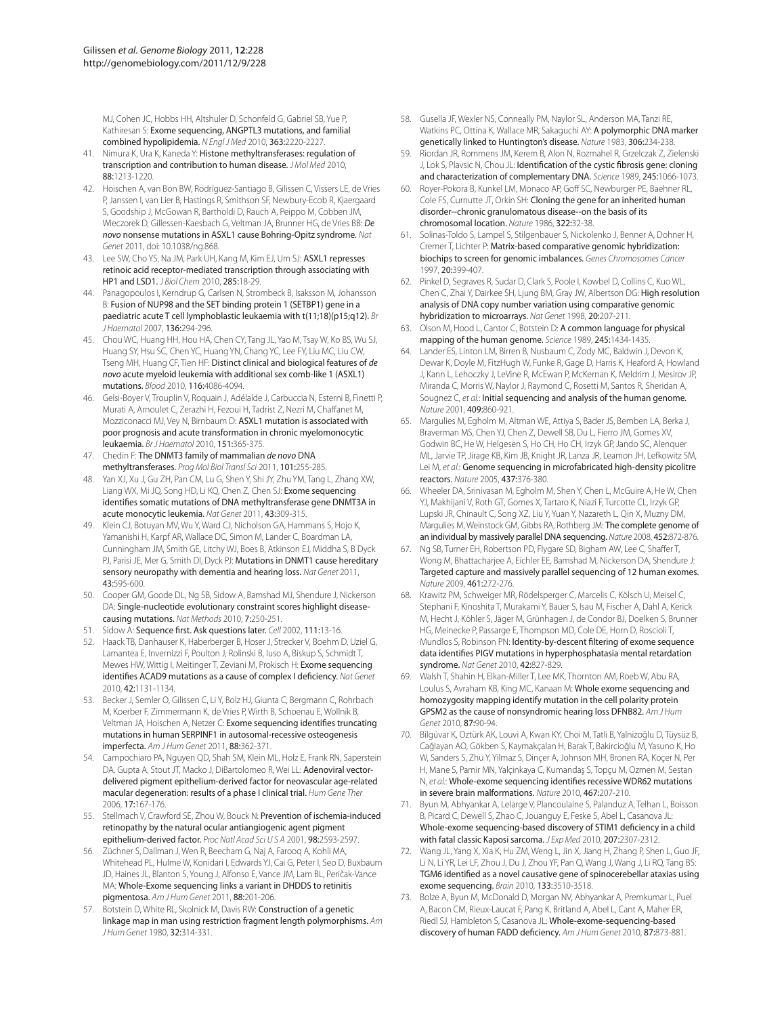MJ, Cohen JC, Hobbs HH, Altshuler D, Schonfeld G, Gabriel SB, Yue P, Kathiresan S: Exome sequencing, ANGPTL3 mutations, and familial combined hypolipidemia. *N Engl J Med* 2010, 363:2220-2227.

- 41. Nimura K, Ura K, Kaneda Y: Histone methyltransferases: regulation of transcription and contribution to human disease. *J Mol Med* 2010, 88:1213-1220.
- 42. Hoischen A, van Bon BW, Rodríguez-Santiago B, Gilissen C, Vissers LE, de Vries P, Janssen I, van Lier B, Hastings R, Smithson SF, Newbury-Ecob R, Kjaergaard S, Goodship J, McGowan R, Bartholdi D, Rauch A, Peippo M, Cobben JM, Wieczorek D, Gillessen-Kaesbach G, Veltman JA, Brunner HG, de Vries BB: *De novo* nonsense mutations in ASXL1 cause Bohring-Opitz syndrome. *Nat Genet* 2011, doi: 10.1038/ng.868.
- 43. Lee SW, Cho YS, Na JM, Park UH, Kang M, Kim EJ, Um SJ: ASXL1 represses retinoic acid receptor-mediated transcription through associating with HP1 and LSD1. *J Biol Chem* 2010, 285:18-29.
- 44. Panagopoulos I, Kerndrup G, Carlsen N, Strombeck B, Isaksson M, Johansson B: Fusion of NUP98 and the SET binding protein 1 (SETBP1) gene in a paediatric acute T cell lymphoblastic leukaemia with t(11;18)(p15;q12). *Br J Haematol* 2007, 136:294-296.
- 45. Chou WC, Huang HH, Hou HA, Chen CY, Tang JL, Yao M, Tsay W, Ko BS, Wu SJ, Huang SY, Hsu SC, Chen YC, Huang YN, Chang YC, Lee FY, Liu MC, Liu CW, Tseng MH, Huang CF, Tien HF: Distinct clinical and biological features of *de novo* acute myeloid leukemia with additional sex comb-like 1 (ASXL1) mutations. *Blood* 2010, 116:4086-4094.
- 46. Gelsi-Boyer V, Trouplin V, Roquain J, Adélaíde J, Carbuccia N, Esterni B, Finetti P, Murati A, Arnoulet C, Zerazhi H, Fezoui H, Tadrist Z, Nezri M, Chaffanet M, Mozziconacci MJ, Vey N, Birnbaum D: ASXL1 mutation is associated with poor prognosis and acute transformation in chronic myelomonocytic leukaemia. *Br J Haematol* 2010, 151:365-375.
- 47. Chedin F: The DNMT3 family of mammalian *de novo* DNA methyltransferases. *Prog Mol Biol Transl Sci* 2011, 101:255-285.
- 48. Yan XJ, Xu J, Gu ZH, Pan CM, Lu G, Shen Y, Shi JY, Zhu YM, Tang L, Zhang XW, Liang WX, Mi JQ, Song HD, Li KQ, Chen Z, Chen SJ: Exome sequencing identifies somatic mutations of DNA methyltransferase gene DNMT3A in acute monocytic leukemia. *Nat Genet* 2011, 43:309-315.
- 49. Klein CJ, Botuyan MV, Wu Y, Ward CJ, Nicholson GA, Hammans S, Hojo K, Yamanishi H, Karpf AR, Wallace DC, Simon M, Lander C, Boardman LA, Cunningham JM, Smith GE, Litchy WJ, Boes B, Atkinson EJ, Middha S, B Dyck PJ, Parisi JE, Mer G, Smith DI, Dyck PJ: Mutations in DNMT1 cause hereditary sensory neuropathy with dementia and hearing loss. *Nat Genet* 2011, 43:595-600.
- 50. Cooper GM, Goode DL, Ng SB, Sidow A, Bamshad MJ, Shendure J, Nickerson DA: Single-nucleotide evolutionary constraint scores highlight diseasecausing mutations. *Nat Methods* 2010, 7:250-251.
- 51. Sidow A: Sequence first. Ask questions later. *Cell* 2002, 111:13-16.
- 52. Haack TB, Danhauser K, Haberberger B, Hoser J, Strecker V, Boehm D, Uziel G, Lamantea E, Invernizzi F, Poulton J, Rolinski B, Iuso A, Biskup S, Schmidt T, Mewes HW, Wittig I, Meitinger T, Zeviani M, Prokisch H: Exome sequencing identifies ACAD9 mutations as a cause of complex I deficiency. *Nat Genet* 2010, 42:1131-1134.
- 53. Becker J, Semler O, Gilissen C, Li Y, Bolz HJ, Giunta C, Bergmann C, Rohrbach M, Koerber F, Zimmermann K, de Vries P, Wirth B, Schoenau E, Wollnik B, Veltman JA, Hoischen A, Netzer C: Exome sequencing identifies truncating mutations in human SERPINF1 in autosomal-recessive osteogenesis imperfecta. *Am J Hum Genet* 2011, 88:362-371.
- 54. Campochiaro PA, Nguyen QD, Shah SM, Klein ML, Holz E, Frank RN, Saperstein DA, Gupta A, Stout JT, Macko J, DiBartolomeo R, Wei LL: Adenoviral vectordelivered pigment epithelium-derived factor for neovascular age-related macular degeneration: results of a phase I clinical trial. *Hum Gene Ther* 2006, 17:167-176.
- 55. Stellmach V, Crawford SE, Zhou W, Bouck N: Prevention of ischemia-induced retinopathy by the natural ocular antiangiogenic agent pigment epithelium-derived factor. *Proc Natl Acad Sci U S A* 2001, 98:2593-2597.
- 56. Züchner S, Dallman J, Wen R, Beecham G, Naj A, Farooq A, Kohli MA, Whitehead PL, Hulme W, Konidari I, Edwards YJ, Cai G, Peter I, Seo D, Buxbaum JD, Haines JL, Blanton S, Young J, Alfonso E, Vance JM, Lam BL, Peričak-Vance MA: Whole-Exome sequencing links a variant in DHDDS to retinitis pigmentosa. *Am J Hum Genet* 2011, 88:201-206.
- 57. Botstein D, White RL, Skolnick M, Davis RW: Construction of a genetic linkage map in man using restriction fragment length polymorphisms. *Am J Hum Genet* 1980, 32:314-331.
- 58. Gusella JF, Wexler NS, Conneally PM, Naylor SL, Anderson MA, Tanzi RE, Watkins PC, Ottina K, Wallace MR, Sakaguchi AY: A polymorphic DNA marker genetically linked to Huntington's disease. *Nature* 1983, 306:234-238.
- 59. Riordan JR, Rommens JM, Kerem B, Alon N, Rozmahel R, Grzelczak Z, Zielenski J, Lok S, Plavsic N, Chou JL: Identification of the cystic fibrosis gene: cloning and characterization of complementary DNA. *Science* 1989, 245:1066-1073.
- 60. Royer-Pokora B, Kunkel LM, Monaco AP, Goff SC, Newburger PE, Baehner RL, Cole FS, Curnutte JT, Orkin SH: Cloning the gene for an inherited human disorder--chronic granulomatous disease--on the basis of its chromosomal location. *Nature* 1986, 322:32-38.
- 61. Solinas-Toldo S, Lampel S, Stilgenbauer S, Nickolenko J, Benner A, Dohner H, Cremer T, Lichter P: Matrix-based comparative genomic hybridization: biochips to screen for genomic imbalances. *Genes Chromosomes Cancer* 1997, 20:399-407.
- 62. Pinkel D, Segraves R, Sudar D, Clark S, Poole I, Kowbel D, Collins C, Kuo WL, Chen C, Zhai Y, Dairkee SH, Ljung BM, Gray JW, Albertson DG: High resolution analysis of DNA copy number variation using comparative genomic hybridization to microarrays. *Nat Genet* 1998, 20:207-211.
- 63. Olson M, Hood L, Cantor C, Botstein D: A common language for physical mapping of the human genome. *Science* 1989, 245:1434-1435.
- Lander ES, Linton LM, Birren B, Nusbaum C, Zody MC, Baldwin J, Devon K, Dewar K, Doyle M, FitzHugh W, Funke R, Gage D, Harris K, Heaford A, Howland J, Kann L, Lehoczky J, LeVine R, McEwan P, McKernan K, Meldrim J, Mesirov JP, Miranda C, Morris W, Naylor J, Raymond C, Rosetti M, Santos R, Sheridan A, Sougnez C, *et al.*: Initial sequencing and analysis of the human genome. *Nature* 2001, 409:860-921.
- 65. Margulies M, Egholm M, Altman WE, Attiya S, Bader JS, Bemben LA, Berka J, Braverman MS, Chen YJ, Chen Z, Dewell SB, Du L, Fierro JM, Gomes XV, Godwin BC, He W, Helgesen S, Ho CH, Ho CH, Irzyk GP, Jando SC, Alenquer ML, Jarvie TP, Jirage KB, Kim JB, Knight JR, Lanza JR, Leamon JH, Lefkowitz SM, Lei M, *et al.*: Genome sequencing in microfabricated high-density picolitre reactors. *Nature* 2005, 437:376-380.
- 66. Wheeler DA, Srinivasan M, Egholm M, Shen Y, Chen L, McGuire A, He W, Chen YJ, Makhijani V, Roth GT, Gomes X, Tartaro K, Niazi F, Turcotte CL, Irzyk GP, Lupski JR, Chinault C, Song XZ, Liu Y, Yuan Y, Nazareth L, Qin X, Muzny DM, Margulies M, Weinstock GM, Gibbs RA, Rothberg JM: The complete genome of an individual by massively parallel DNA sequencing. *Nature* 2008, 452:872-876.
- 67. Ng SB, Turner EH, Robertson PD, Flygare SD, Bigham AW, Lee C, Shaffer T, Wong M, Bhattacharjee A, Eichler EE, Bamshad M, Nickerson DA, Shendure J: Targeted capture and massively parallel sequencing of 12 human exomes. *Nature* 2009, 461:272-276.
- 68. Krawitz PM, Schweiger MR, Rödelsperger C, Marcelis C, Kölsch U, Meisel C, Stephani F, Kinoshita T, Murakami Y, Bauer S, Isau M, Fischer A, Dahl A, Kerick M, Hecht J, Köhler S, Jäger M, Grünhagen J, de Condor BJ, Doelken S, Brunner HG, Meinecke P, Passarge E, Thompson MD, Cole DE, Horn D, Roscioli T, Mundlos S, Robinson PN: Identity-by-descent filtering of exome sequence data identifies PIGV mutations in hyperphosphatasia mental retardation syndrome. *Nat Genet* 2010, 42:827-829.
- Walsh T, Shahin H, Elkan-Miller T, Lee MK, Thornton AM, Roeb W, Abu RA, Loulus S, Avraham KB, King MC, Kanaan M: Whole exome sequencing and homozygosity mapping identify mutation in the cell polarity protein GPSM2 as the cause of nonsyndromic hearing loss DFNB82. *Am J Hum Genet* 2010, 87:90-94.
- 70. Bilgüvar K, Oztürk AK, Louvi A, Kwan KY, Choi M, Tatli B, Yalnizoğlu D, Tüysüz B, Cağlayan AO, Gökben S, Kaymakçalan H, Barak T, Bakircioğlu M, Yasuno K, Ho W, Sanders S, Zhu Y, Yilmaz S, Dinçer A, Johnson MH, Bronen RA, Koçer N, Per H, Mane S, Pamir MN, Yalçinkaya C, Kumandaş S, Topçu M, Ozmen M, Sestan N, *et al.*: Whole-exome sequencing identifies recessive WDR62 mutations in severe brain malformations. *Nature* 2010, 467:207-210.
- Byun M, Abhyankar A, Lelarge V, Plancoulaine S, Palanduz A, Telhan L, Boisson B, Picard C, Dewell S, Zhao C, Jouanguy E, Feske S, Abel L, Casanova JL: Whole-exome sequencing-based discovery of STIM1 deficiency in a child with fatal classic Kaposi sarcoma. *J Exp Med* 2010, 207:2307-2312.
- 72. Wang JL, Yang X, Xia K, Hu ZM, Weng L, Jin X, Jiang H, Zhang P, Shen L, Guo JF, Li N, Li YR, Lei LF, Zhou J, Du J, Zhou YF, Pan Q, Wang J, Wang J, Li RQ, Tang BS: TGM6 identified as a novel causative gene of spinocerebellar ataxias using exome sequencing. *Brain* 2010, 133:3510-3518.
- 73. Bolze A, Byun M, McDonald D, Morgan NV, Abhyankar A, Premkumar L, Puel A, Bacon CM, Rieux-Laucat F, Pang K, Britland A, Abel L, Cant A, Maher ER, Riedl SJ, Hambleton S, Casanova JL: Whole-exome-sequencing-based discovery of human FADD deficiency. *Am J Hum Genet* 2010, 87:873-881.